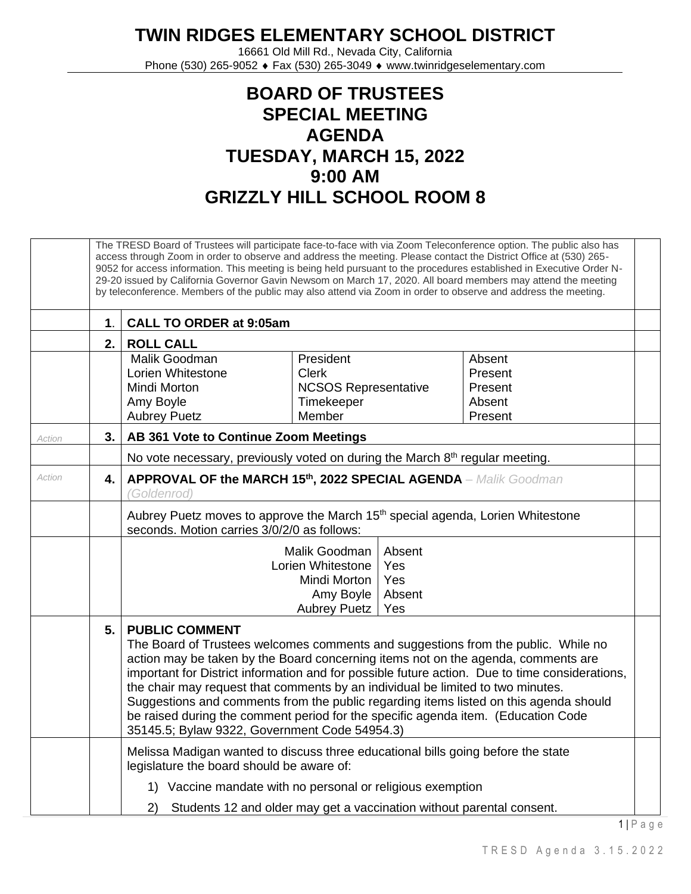## **TWIN RIDGES ELEMENTARY SCHOOL DISTRICT**

16661 Old Mill Rd., Nevada City, California Phone (530) 265-9052 ♦ Fax (530) 265-3049 ♦ www.twinridgeselementary.com

## **BOARD OF TRUSTEES SPECIAL MEETING AGENDA TUESDAY, MARCH 15, 2022 9:00 AM GRIZZLY HILL SCHOOL ROOM 8**

|        | The TRESD Board of Trustees will participate face-to-face with via Zoom Teleconference option. The public also has<br>access through Zoom in order to observe and address the meeting. Please contact the District Office at (530) 265-<br>9052 for access information. This meeting is being held pursuant to the procedures established in Executive Order N-<br>29-20 issued by California Governor Gavin Newsom on March 17, 2020. All board members may attend the meeting<br>by teleconference. Members of the public may also attend via Zoom in order to observe and address the meeting. |                                                                                                                                                                                                                                                                                                                                                                                                                                                                                                                                                                                                                     |  |  |  |  |  |
|--------|---------------------------------------------------------------------------------------------------------------------------------------------------------------------------------------------------------------------------------------------------------------------------------------------------------------------------------------------------------------------------------------------------------------------------------------------------------------------------------------------------------------------------------------------------------------------------------------------------|---------------------------------------------------------------------------------------------------------------------------------------------------------------------------------------------------------------------------------------------------------------------------------------------------------------------------------------------------------------------------------------------------------------------------------------------------------------------------------------------------------------------------------------------------------------------------------------------------------------------|--|--|--|--|--|
|        | 1 <sub>1</sub>                                                                                                                                                                                                                                                                                                                                                                                                                                                                                                                                                                                    | <b>CALL TO ORDER at 9:05am</b>                                                                                                                                                                                                                                                                                                                                                                                                                                                                                                                                                                                      |  |  |  |  |  |
|        | 2.                                                                                                                                                                                                                                                                                                                                                                                                                                                                                                                                                                                                | <b>ROLL CALL</b>                                                                                                                                                                                                                                                                                                                                                                                                                                                                                                                                                                                                    |  |  |  |  |  |
|        |                                                                                                                                                                                                                                                                                                                                                                                                                                                                                                                                                                                                   | Malik Goodman<br>President<br>Absent<br>Lorien Whitestone<br><b>Clerk</b><br>Present<br>Mindi Morton<br><b>NCSOS Representative</b><br>Present<br>Timekeeper<br>Absent<br>Amy Boyle<br>Member<br><b>Aubrey Puetz</b><br>Present                                                                                                                                                                                                                                                                                                                                                                                     |  |  |  |  |  |
| Action | 3.                                                                                                                                                                                                                                                                                                                                                                                                                                                                                                                                                                                                | AB 361 Vote to Continue Zoom Meetings                                                                                                                                                                                                                                                                                                                                                                                                                                                                                                                                                                               |  |  |  |  |  |
|        |                                                                                                                                                                                                                                                                                                                                                                                                                                                                                                                                                                                                   | No vote necessary, previously voted on during the March 8 <sup>th</sup> regular meeting.                                                                                                                                                                                                                                                                                                                                                                                                                                                                                                                            |  |  |  |  |  |
| Action | 4.                                                                                                                                                                                                                                                                                                                                                                                                                                                                                                                                                                                                | APPROVAL OF the MARCH 15th, 2022 SPECIAL AGENDA - Malik Goodman<br>(Goldenrod)                                                                                                                                                                                                                                                                                                                                                                                                                                                                                                                                      |  |  |  |  |  |
|        |                                                                                                                                                                                                                                                                                                                                                                                                                                                                                                                                                                                                   | Aubrey Puetz moves to approve the March 15 <sup>th</sup> special agenda, Lorien Whitestone<br>seconds. Motion carries 3/0/2/0 as follows:                                                                                                                                                                                                                                                                                                                                                                                                                                                                           |  |  |  |  |  |
|        |                                                                                                                                                                                                                                                                                                                                                                                                                                                                                                                                                                                                   | Malik Goodman<br>Absent<br>Lorien Whitestone<br>Yes<br>Yes<br>Mindi Morton<br>Absent<br>Amy Boyle<br><b>Aubrey Puetz</b><br>Yes                                                                                                                                                                                                                                                                                                                                                                                                                                                                                     |  |  |  |  |  |
|        | 5.                                                                                                                                                                                                                                                                                                                                                                                                                                                                                                                                                                                                | <b>PUBLIC COMMENT</b><br>The Board of Trustees welcomes comments and suggestions from the public. While no<br>action may be taken by the Board concerning items not on the agenda, comments are<br>important for District information and for possible future action. Due to time considerations,<br>the chair may request that comments by an individual be limited to two minutes.<br>Suggestions and comments from the public regarding items listed on this agenda should<br>be raised during the comment period for the specific agenda item. (Education Code<br>35145.5; Bylaw 9322, Government Code 54954.3) |  |  |  |  |  |
|        |                                                                                                                                                                                                                                                                                                                                                                                                                                                                                                                                                                                                   | Melissa Madigan wanted to discuss three educational bills going before the state<br>legislature the board should be aware of:                                                                                                                                                                                                                                                                                                                                                                                                                                                                                       |  |  |  |  |  |
|        |                                                                                                                                                                                                                                                                                                                                                                                                                                                                                                                                                                                                   | 1) Vaccine mandate with no personal or religious exemption                                                                                                                                                                                                                                                                                                                                                                                                                                                                                                                                                          |  |  |  |  |  |
|        |                                                                                                                                                                                                                                                                                                                                                                                                                                                                                                                                                                                                   | Students 12 and older may get a vaccination without parental consent.<br>2)                                                                                                                                                                                                                                                                                                                                                                                                                                                                                                                                         |  |  |  |  |  |

 $1 \mid P$  a g e